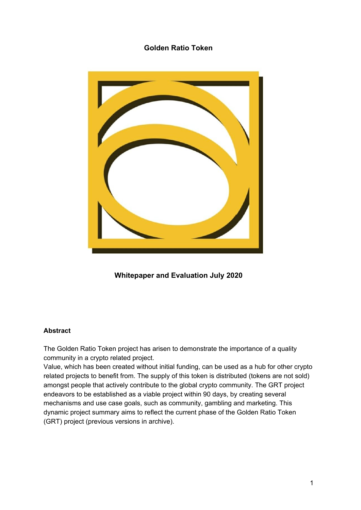# **Golden Ratio Token**



**Whitepaper and Evaluation July 2020**

### **Abstract**

The Golden Ratio Token project has arisen to demonstrate the importance of a quality community in a crypto related project.

Value, which has been created without initial funding, can be used as a hub for other crypto related projects to benefit from. The supply of this token is distributed (tokens are not sold) amongst people that actively contribute to the global crypto community. The GRT project endeavors to be established as a viable project within 90 days, by creating several mechanisms and use case goals, such as community, gambling and marketing. This dynamic project summary aims to reflect the current phase of the Golden Ratio Token (GRT) project (previous versions in archive).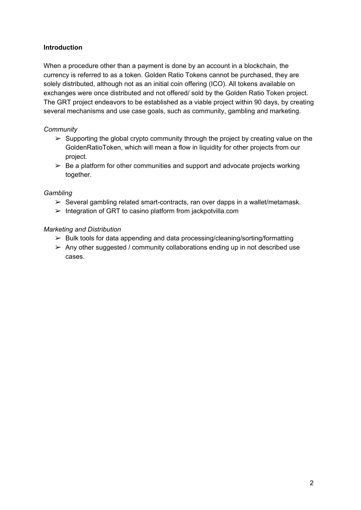### **Introduction**

When a procedure other than a payment is done by an account in a blockchain, the currency is referred to as a token. Golden Ratio Tokens cannot be purchased, they are solely distributed, although not as an initial coin offering (ICO). All tokens available on exchanges were once distributed and not offered/ sold by the Golden Ratio Token project. The GRT project endeavors to be established as a viable project within 90 days, by creating several mechanisms and use case goals, such as community, gambling and marketing.

### *Community*

- $\geq$  Supporting the global crypto community through the project by creating value on the GoldenRatioToken, which will mean a flow in liquidity for other projects from our project.
- $\geq$  Be a platform for other communities and support and advocate projects working together.

### *Gambling*

- $\triangleright$  Several gambling related smart-contracts, ran over dapps in a wallet/metamask.
- $\triangleright$  Integration of GRT to casino platform from jackpotvilla.com

## *Marketing and Distribution*

- $\triangleright$  Bulk tools for data appending and data processing/cleaning/sorting/formatting
- $\geq$  Any other suggested / community collaborations ending up in not described use cases.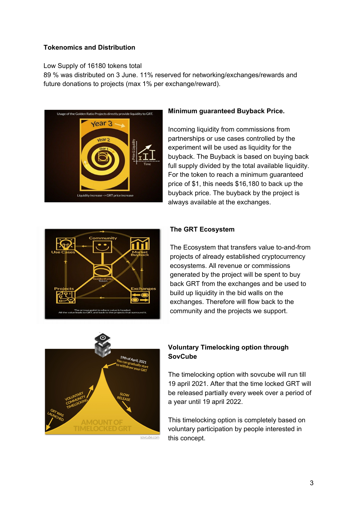### **Tokenomics and Distribution**

#### Low Supply of 16180 tokens total

89 % was distributed on 3 June. 11% reserved for networking/exchanges/rewards and future donations to projects (max 1% per exchange/reward).



### **Minimum guaranteed Buyback Price.**

Incoming liquidity from commissions from partnerships or use cases controlled by the experiment will be used as liquidity for the buyback. The Buyback is based on buying back full supply divided by the total available liquidity. For the token to reach a minimum guaranteed price of \$1, this needs \$16,180 to back up the buyback price. The buyback by the project is always available at the exchanges.



### **The GRT Ecosystem**

The Ecosystem that transfers value to-and-from projects of already established cryptocurrency ecosystems. All revenue or commissions generated by the project will be spent to buy back GRT from the exchanges and be used to build up liquidity in the bid walls on the exchanges. Therefore will flow back to the community and the projects we support.



# **Voluntary Timelocking option through SovCube**

The timelocking option with sovcube will run till 19 april 2021. After that the time locked GRT will be released partially every week over a period of a year until 19 april 2022.

This timelocking option is completely based on voluntary participation by people interested in this concept.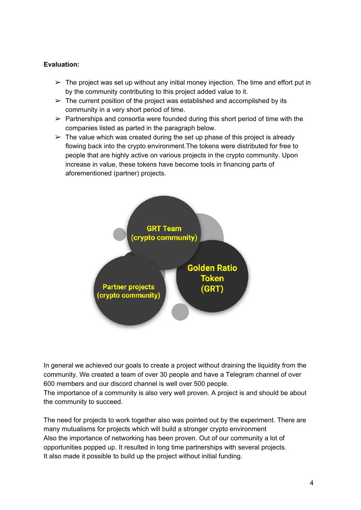### **Evaluation:**

- $\triangleright$  The project was set up without any initial money injection. The time and effort put in by the community contributing to this project added value to it.
- $\triangleright$  The current position of the project was established and accomplished by its community in a very short period of time.
- $\triangleright$  Partnerships and consortia were founded during this short period of time with the companies listed as parted in the paragraph below.
- $\triangleright$  The value which was created during the set up phase of this project is already flowing back into the crypto environment.The tokens were distributed for free to people that are highly active on various projects in the crypto community. Upon increase in value, these tokens have become tools in financing parts of aforementioned (partner) projects.



In general we achieved our goals to create a project without draining the liquidity from the community. We created a team of over 30 people and have a Telegram channel of over 600 members and our discord channel is well over 500 people.

The importance of a community is also very well proven. A project is and should be about the community to succeed.

The need for projects to work together also was pointed out by the experiment. There are many mutualisms for projects which will build a stronger crypto environment Also the importance of networking has been proven. Out of our community a lot of opportunities popped up. It resulted in long time partnerships with several projects. It also made it possible to build up the project without initial funding.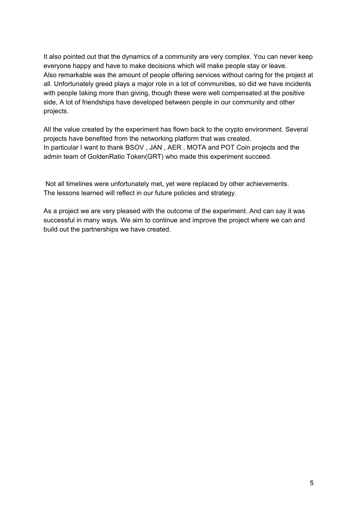It also pointed out that the dynamics of a community are very complex. You can never keep everyone happy and have to make decisions which will make people stay or leave. Also remarkable was the amount of people offering services without caring for the project at all. Unfortunately greed plays a major role in a lot of communities, so did we have incidents with people taking more than giving, though these were well compensated at the positive side, A lot of friendships have developed between people in our community and other projects.

All the value created by the experiment has flown back to the crypto environment. Several projects have benefited from the networking platform that was created. In particular I want to thank BSOV , JAN , AER , MOTA and POT Coin projects and the admin team of GoldenRatio Token(GRT) who made this experiment succeed.

Not all timelines were unfortunately met, yet were replaced by other achievements. The lessons learned will reflect in our future policies and strategy.

As a project we are very pleased with the outcome of the experiment. And can say it was successful in many ways. We aim to continue and improve the project where we can and build out the partnerships we have created.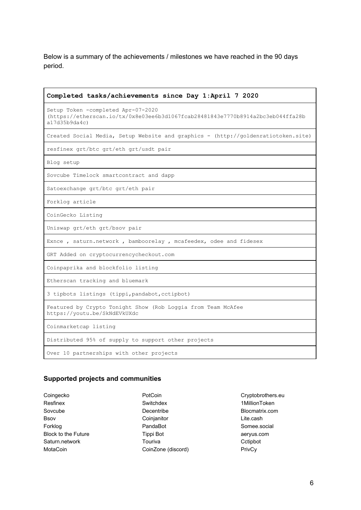Below is a summary of the achievements / milestones we have reached in the 90 days period.

| Completed tasks/achievements since Day 1:April 7 2020                                                                                 |
|---------------------------------------------------------------------------------------------------------------------------------------|
| Setup Token -completed Apr-07-2020<br>(https://etherscan.io/tx/0x8e03ee6b3d1067fcab28481843e7770b8914a2bc3eb044ffa28b<br>a17d35b9da4c |
| Created Social Media, Setup Website and graphics - (http://goldenratiotoken.site)                                                     |
| resfinex grt/btc grt/eth grt/usdt pair                                                                                                |
| Blog setup                                                                                                                            |
| Sovcube Timelock smartcontract and dapp                                                                                               |
| Satoexchange grt/btc grt/eth pair                                                                                                     |
| Forklog article                                                                                                                       |
| CoinGecko Listing                                                                                                                     |
| Uniswap grt/eth grt/bsov pair                                                                                                         |
| Exnce, saturn.network, bamboorelay, mcafeedex, odee and fidesex                                                                       |
| GRT Added on cryptocurrencycheckout.com                                                                                               |
| Coinpaprika and blockfolio listing                                                                                                    |
| Etherscan tracking and bluemark                                                                                                       |
| 3 tipbots listings (tippi, pandabot, cctipbot)                                                                                        |
| Featured by Crypto Tonight Show (Rob Loggia from Team McAfee<br>https://youtu.be/SkNdEVkUXdc                                          |
| Coinmarketcap listing                                                                                                                 |
| Distributed 95% of supply to support other projects                                                                                   |
| Over 10 partnerships with other projects                                                                                              |

## **Supported projects and communities**

| Coingecko                  |
|----------------------------|
| Resfinex                   |
| Sovcube                    |
| Bsov                       |
| Forkloa                    |
| <b>Block to the Future</b> |
| Saturn.network             |
| MotaCoin                   |

PotCoin Switchdex Decentribe Coinjanitor PandaBot Tippi Bot Touriva CoinZone (discord) Cryptobrothers.eu 1MillionToken Blocmatrix.com Lite.cash Somee.social aeryus.com Cctipbot PrivCy